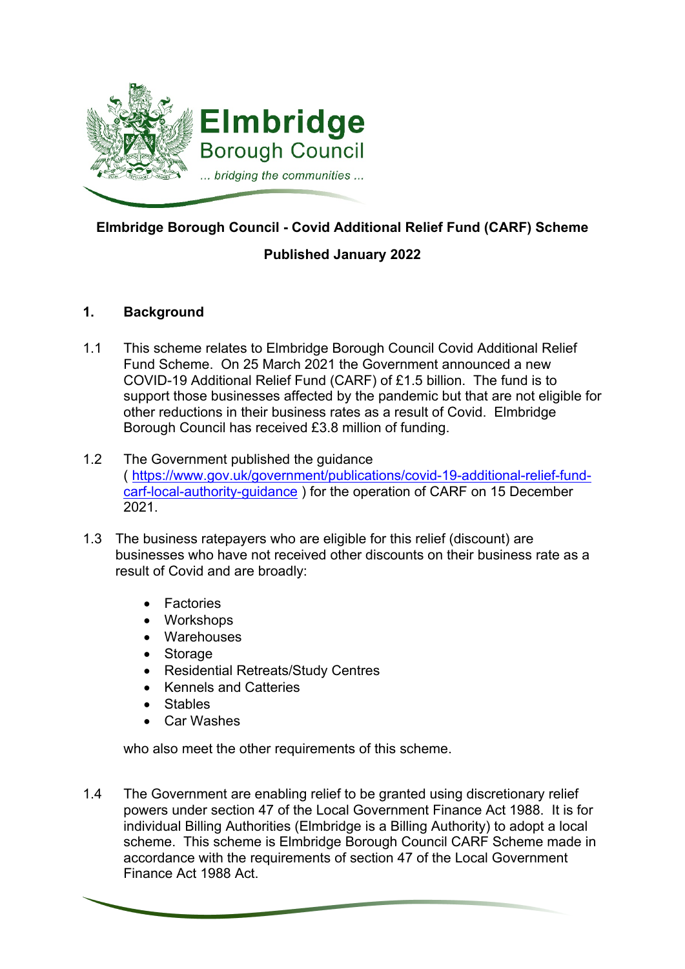

# **Elmbridge Borough Council - Covid Additional Relief Fund (CARF) Scheme**

# **Published January 2022**

### **1. Background**

- 1.1 This scheme relates to Elmbridge Borough Council Covid Additional Relief Fund Scheme. On 25 March 2021 the Government announced a new COVID-19 Additional Relief Fund (CARF) of £1.5 billion. The fund is to support those businesses affected by the pandemic but that are not eligible for other reductions in their business rates as a result of Covid. Elmbridge Borough Council has received £3.8 million of funding.
- 1.2 The Government published the guidance ( [https://www.gov.uk/government/publications/covid-19-additional-relief-fund](https://www.gov.uk/government/publications/covid-19-additional-relief-fund-carf-local-authority-guidance)[carf-local-authority-guidance](https://www.gov.uk/government/publications/covid-19-additional-relief-fund-carf-local-authority-guidance) ) for the operation of CARF on 15 December 2021.
- 1.3 The business ratepayers who are eligible for this relief (discount) are businesses who have not received other discounts on their business rate as a result of Covid and are broadly:
	- Factories
	- Workshops
	- Warehouses
	- Storage
	- Residential Retreats/Study Centres
	- Kennels and Catteries
	- Stables
	- Car Washes

who also meet the other requirements of this scheme.

1.4 The Government are enabling relief to be granted using discretionary relief powers under section 47 of the Local Government Finance Act 1988. It is for individual Billing Authorities (Elmbridge is a Billing Authority) to adopt a local scheme. This scheme is Elmbridge Borough Council CARF Scheme made in accordance with the requirements of section 47 of the Local Government Finance Act 1988 Act.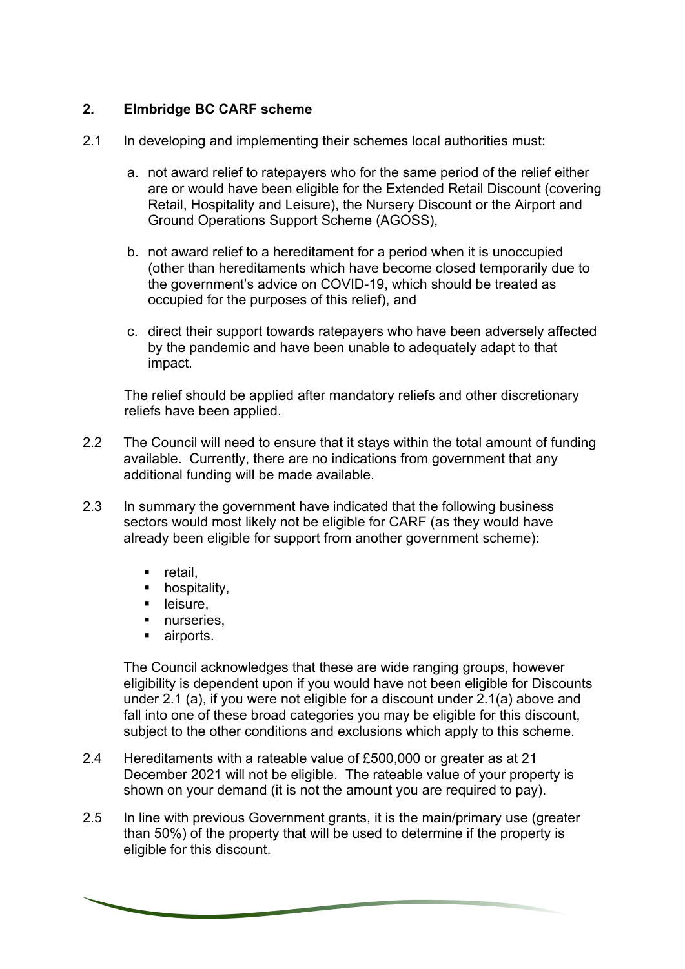#### **2. Elmbridge BC CARF scheme**

- 2.1 In developing and implementing their schemes local authorities must:
	- a. not award relief to ratepayers who for the same period of the relief either are or would have been eligible for the Extended Retail Discount (covering Retail, Hospitality and Leisure), the Nursery Discount or the Airport and Ground Operations Support Scheme (AGOSS),
	- b. not award relief to a hereditament for a period when it is unoccupied (other than hereditaments which have become closed temporarily due to the government's advice on COVID-19, which should be treated as occupied for the purposes of this relief), and
	- c. direct their support towards ratepayers who have been adversely affected by the pandemic and have been unable to adequately adapt to that impact.

The relief should be applied after mandatory reliefs and other discretionary reliefs have been applied.

- 2.2 The Council will need to ensure that it stays within the total amount of funding available. Currently, there are no indications from government that any additional funding will be made available.
- 2.3 In summary the government have indicated that the following business sectors would most likely not be eligible for CARF (as they would have already been eligible for support from another government scheme):
	- $retail$ ,
	- **•** hospitality,
	- **leisure**.
	- nurseries,
	- **airports.**

The Council acknowledges that these are wide ranging groups, however eligibility is dependent upon if you would have not been eligible for Discounts under 2.1 (a), if you were not eligible for a discount under 2.1(a) above and fall into one of these broad categories you may be eligible for this discount, subject to the other conditions and exclusions which apply to this scheme.

- 2.4 Hereditaments with a rateable value of £500,000 or greater as at 21 December 2021 will not be eligible. The rateable value of your property is shown on your demand (it is not the amount you are required to pay).
- 2.5 In line with previous Government grants, it is the main/primary use (greater than 50%) of the property that will be used to determine if the property is eligible for this discount.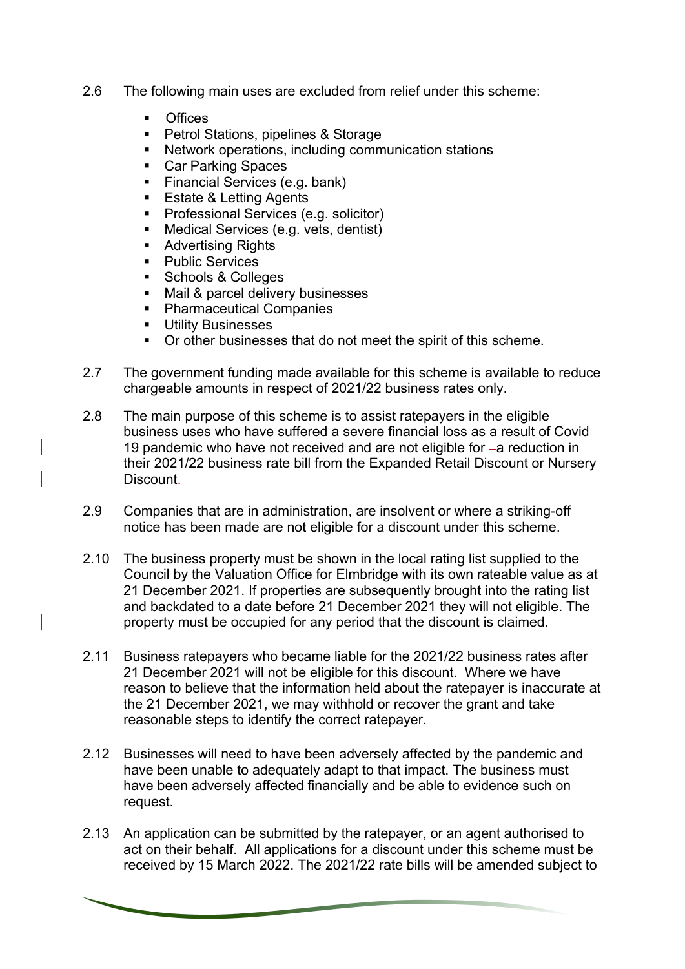- 2.6 The following main uses are excluded from relief under this scheme:
	- **Ces**
	- **Petrol Stations, pipelines & Storage**
	- Network operations, including communication stations
	- Car Parking Spaces
	- **Financial Services (e.g. bank)**
	- **Estate & Letting Agents**
	- **Professional Services (e.g. solicitor)**
	- **Medical Services (e.g. vets, dentist)**
	- **Advertising Rights**
	- **Public Services**
	- Schools & Colleges
	- **Mail & parcel delivery businesses**
	- **Pharmaceutical Companies**
	- **Utility Businesses**
	- Or other businesses that do not meet the spirit of this scheme.
- 2.7 The government funding made available for this scheme is available to reduce chargeable amounts in respect of 2021/22 business rates only.
- 2.8 The main purpose of this scheme is to assist ratepayers in the eligible business uses who have suffered a severe financial loss as a result of Covid 19 pandemic who have not received and are not eligible for  $-a$  reduction in their 2021/22 business rate bill from the Expanded Retail Discount or Nursery Discount.
- 2.9 Companies that are in administration, are insolvent or where a striking-off notice has been made are not eligible for a discount under this scheme.
- 2.10 The business property must be shown in the local rating list supplied to the Council by the Valuation Office for Elmbridge with its own rateable value as at 21 December 2021. If properties are subsequently brought into the rating list and backdated to a date before 21 December 2021 they will not eligible. The property must be occupied for any period that the discount is claimed.
- 2.11 Business ratepayers who became liable for the 2021/22 business rates after 21 December 2021 will not be eligible for this discount. Where we have reason to believe that the information held about the ratepayer is inaccurate at the 21 December 2021, we may withhold or recover the grant and take reasonable steps to identify the correct ratepayer.
- 2.12 Businesses will need to have been adversely affected by the pandemic and have been unable to adequately adapt to that impact. The business must have been adversely affected financially and be able to evidence such on request.
- 2.13 An application can be submitted by the ratepayer, or an agent authorised to act on their behalf. All applications for a discount under this scheme must be received by 15 March 2022. The 2021/22 rate bills will be amended subject to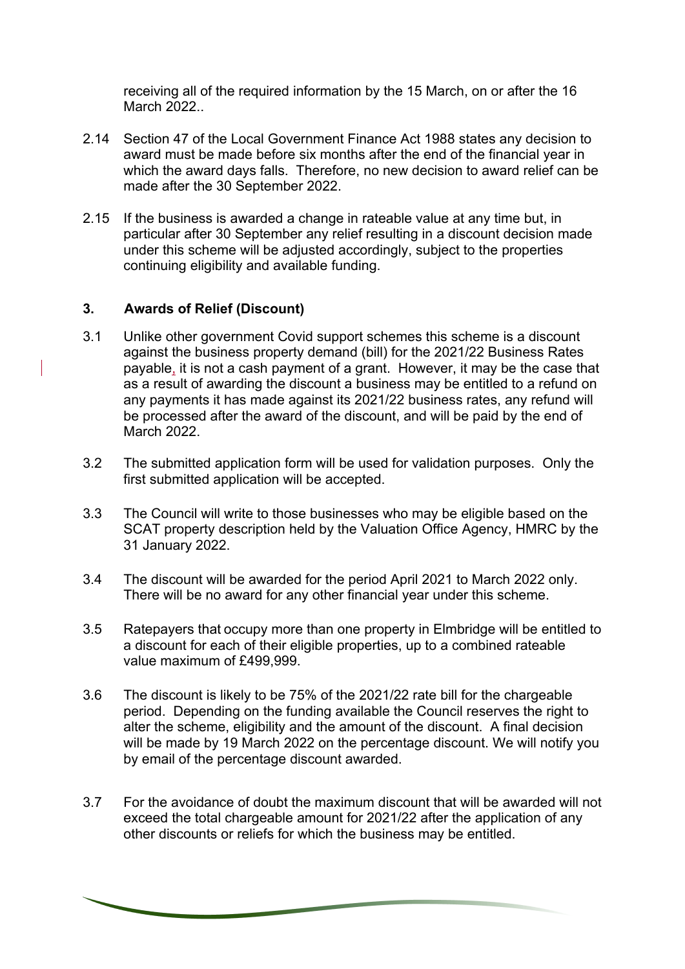receiving all of the required information by the 15 March, on or after the 16 March 2022..

- 2.14 Section 47 of the Local Government Finance Act 1988 states any decision to award must be made before six months after the end of the financial year in which the award days falls. Therefore, no new decision to award relief can be made after the 30 September 2022.
- 2.15 If the business is awarded a change in rateable value at any time but, in particular after 30 September any relief resulting in a discount decision made under this scheme will be adjusted accordingly, subject to the properties continuing eligibility and available funding.

#### **3. Awards of Relief (Discount)**

- 3.1 Unlike other government Covid support schemes this scheme is a discount against the business property demand (bill) for the 2021/22 Business Rates payable, it is not a cash payment of a grant. However, it may be the case that as a result of awarding the discount a business may be entitled to a refund on any payments it has made against its 2021/22 business rates, any refund will be processed after the award of the discount, and will be paid by the end of March 2022.
- 3.2 The submitted application form will be used for validation purposes. Only the first submitted application will be accepted.
- 3.3 The Council will write to those businesses who may be eligible based on the SCAT property description held by the Valuation Office Agency, HMRC by the 31 January 2022.
- 3.4 The discount will be awarded for the period April 2021 to March 2022 only. There will be no award for any other financial year under this scheme.
- 3.5 Ratepayers that occupy more than one property in Elmbridge will be entitled to a discount for each of their eligible properties, up to a combined rateable value maximum of £499,999.
- 3.6 The discount is likely to be 75% of the 2021/22 rate bill for the chargeable period. Depending on the funding available the Council reserves the right to alter the scheme, eligibility and the amount of the discount. A final decision will be made by 19 March 2022 on the percentage discount. We will notify you by email of the percentage discount awarded.
- 3.7 For the avoidance of doubt the maximum discount that will be awarded will not exceed the total chargeable amount for 2021/22 after the application of any other discounts or reliefs for which the business may be entitled.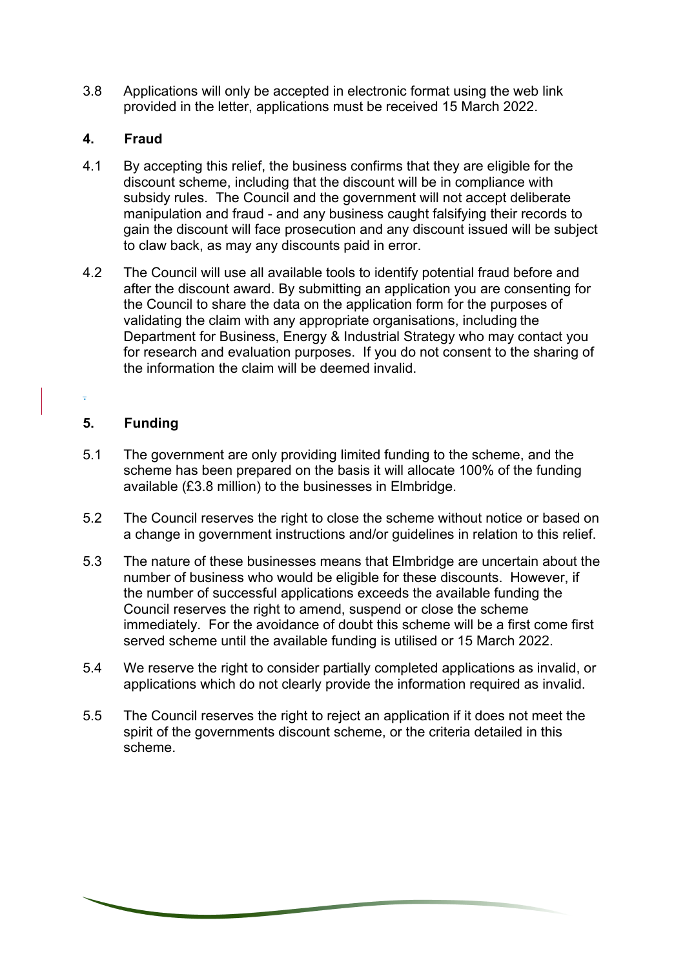3.8 Applications will only be accepted in electronic format using the web link provided in the letter, applications must be received 15 March 2022.

### **4. Fraud**

- 4.1 By accepting this relief, the business confirms that they are eligible for the discount scheme, including that the discount will be in compliance with subsidy rules. The Council and the government will not accept deliberate manipulation and fraud - and any business caught falsifying their records to gain the discount will face prosecution and any discount issued will be subject to claw back, as may any discounts paid in error.
- 4.2 The Council will use all available tools to identify potential fraud before and after the discount award. By submitting an application you are consenting for the Council to share the data on the application form for the purposes of validating the claim with any appropriate organisations, including the Department for Business, Energy & Industrial Strategy who may contact you for research and evaluation purposes. If you do not consent to the sharing of the information the claim will be deemed invalid.

### **5. Funding**

.

- 5.1 The government are only providing limited funding to the scheme, and the scheme has been prepared on the basis it will allocate 100% of the funding available (£3.8 million) to the businesses in Elmbridge.
- 5.2 The Council reserves the right to close the scheme without notice or based on a change in government instructions and/or guidelines in relation to this relief.
- 5.3 The nature of these businesses means that Elmbridge are uncertain about the number of business who would be eligible for these discounts. However, if the number of successful applications exceeds the available funding the Council reserves the right to amend, suspend or close the scheme immediately. For the avoidance of doubt this scheme will be a first come first served scheme until the available funding is utilised or 15 March 2022.
- 5.4 We reserve the right to consider partially completed applications as invalid, or applications which do not clearly provide the information required as invalid.
- 5.5 The Council reserves the right to reject an application if it does not meet the spirit of the governments discount scheme, or the criteria detailed in this scheme.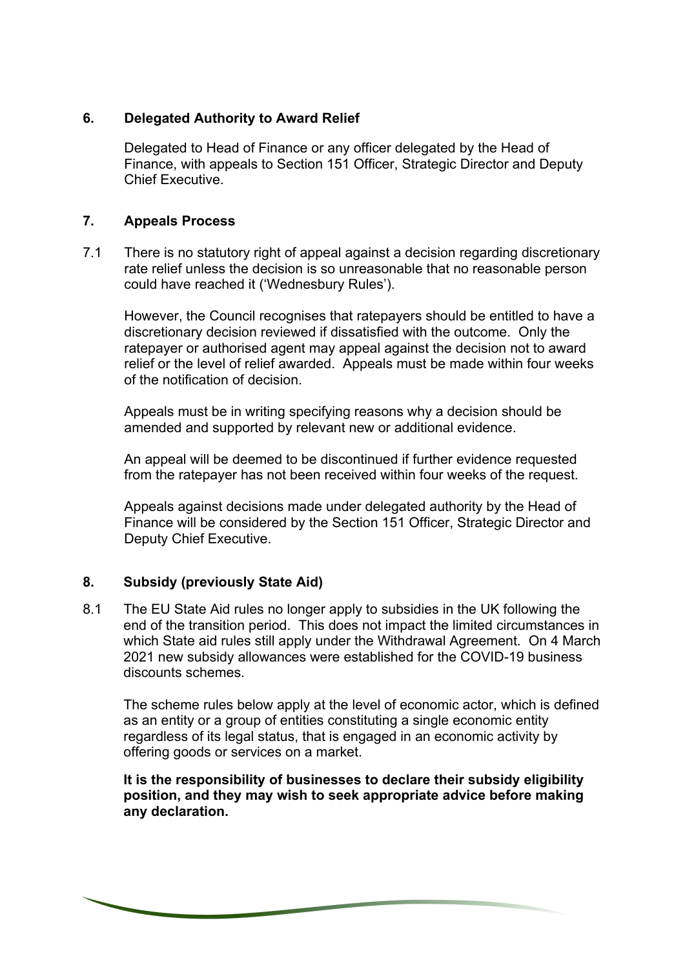### **6. Delegated Authority to Award Relief**

Delegated to Head of Finance or any officer delegated by the Head of Finance, with appeals to Section 151 Officer, Strategic Director and Deputy Chief Executive.

### **7. Appeals Process**

7.1 There is no statutory right of appeal against a decision regarding discretionary rate relief unless the decision is so unreasonable that no reasonable person could have reached it ('Wednesbury Rules').

However, the Council recognises that ratepayers should be entitled to have a discretionary decision reviewed if dissatisfied with the outcome. Only the ratepayer or authorised agent may appeal against the decision not to award relief or the level of relief awarded. Appeals must be made within four weeks of the notification of decision.

Appeals must be in writing specifying reasons why a decision should be amended and supported by relevant new or additional evidence.

An appeal will be deemed to be discontinued if further evidence requested from the ratepayer has not been received within four weeks of the request.

Appeals against decisions made under delegated authority by the Head of Finance will be considered by the Section 151 Officer, Strategic Director and Deputy Chief Executive.

## **8. Subsidy (previously State Aid)**

8.1 The EU State Aid rules no longer apply to subsidies in the UK following the end of the transition period. This does not impact the limited circumstances in which State aid rules still apply under the Withdrawal Agreement. On 4 March 2021 new subsidy allowances were established for the COVID-19 business discounts schemes.

The scheme rules below apply at the level of economic actor, which is defined as an entity or a group of entities constituting a single economic entity regardless of its legal status, that is engaged in an economic activity by offering goods or services on a market.

**It is the responsibility of businesses to declare their subsidy eligibility position, and they may wish to seek appropriate advice before making any declaration.**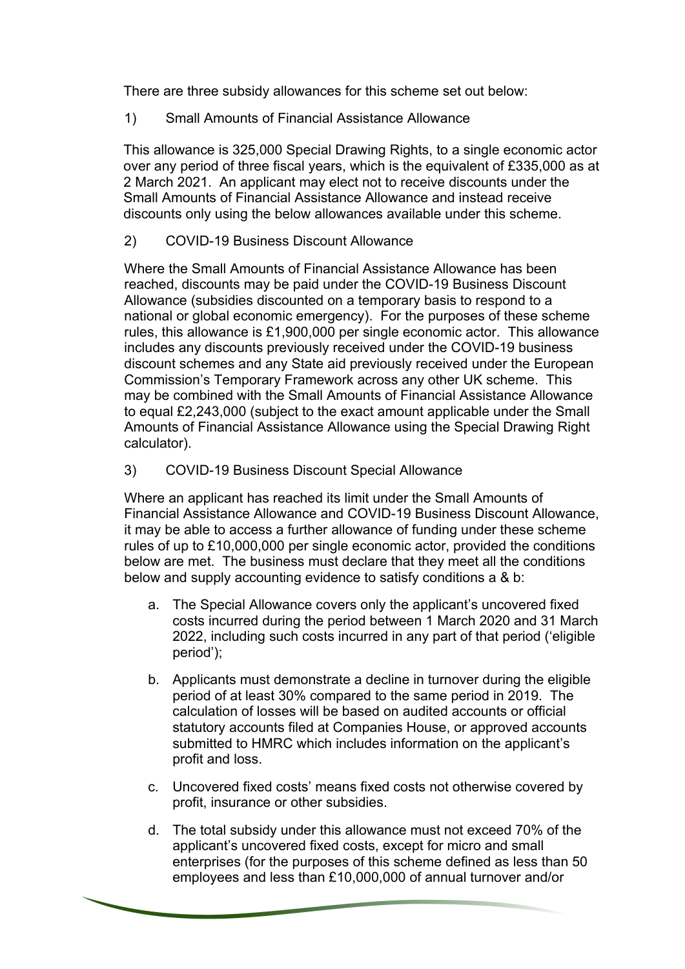There are three subsidy allowances for this scheme set out below:

1) Small Amounts of Financial Assistance Allowance

This allowance is 325,000 Special Drawing Rights, to a single economic actor over any period of three fiscal years, which is the equivalent of £335,000 as at 2 March 2021. An applicant may elect not to receive discounts under the Small Amounts of Financial Assistance Allowance and instead receive discounts only using the below allowances available under this scheme.

2) COVID-19 Business Discount Allowance

Where the Small Amounts of Financial Assistance Allowance has been reached, discounts may be paid under the COVID-19 Business Discount Allowance (subsidies discounted on a temporary basis to respond to a national or global economic emergency). For the purposes of these scheme rules, this allowance is £1,900,000 per single economic actor. This allowance includes any discounts previously received under the COVID-19 business discount schemes and any State aid previously received under the European Commission's Temporary Framework across any other UK scheme. This may be combined with the Small Amounts of Financial Assistance Allowance to equal £2,243,000 (subject to the exact amount applicable under the Small Amounts of Financial Assistance Allowance using the Special Drawing Right calculator).

3) COVID-19 Business Discount Special Allowance

Where an applicant has reached its limit under the Small Amounts of Financial Assistance Allowance and COVID-19 Business Discount Allowance, it may be able to access a further allowance of funding under these scheme rules of up to £10,000,000 per single economic actor, provided the conditions below are met. The business must declare that they meet all the conditions below and supply accounting evidence to satisfy conditions a & b:

- a. The Special Allowance covers only the applicant's uncovered fixed costs incurred during the period between 1 March 2020 and 31 March 2022, including such costs incurred in any part of that period ('eligible period');
- b. Applicants must demonstrate a decline in turnover during the eligible period of at least 30% compared to the same period in 2019. The calculation of losses will be based on audited accounts or official statutory accounts filed at Companies House, or approved accounts submitted to HMRC which includes information on the applicant's profit and loss.
- c. Uncovered fixed costs' means fixed costs not otherwise covered by profit, insurance or other subsidies.
- d. The total subsidy under this allowance must not exceed 70% of the applicant's uncovered fixed costs, except for micro and small enterprises (for the purposes of this scheme defined as less than 50 employees and less than £10,000,000 of annual turnover and/or